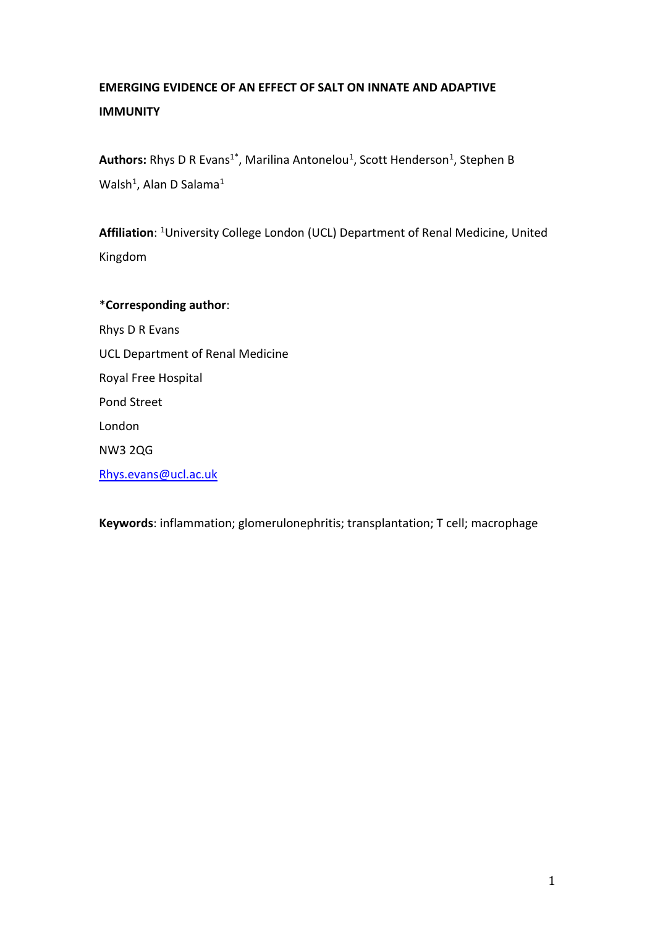# **EMERGING EVIDENCE OF AN EFFECT OF SALT ON INNATE AND ADAPTIVE IMMUNITY**

**Authors:** Rhys D R Evans<sup>1\*</sup>, Marilina Antonelou<sup>1</sup>, Scott Henderson<sup>1</sup>, Stephen B Walsh<sup>1</sup>, Alan D Salama<sup>1</sup>

**Affiliation**: <sup>1</sup>University College London (UCL) Department of Renal Medicine, United Kingdom

\***Corresponding author**: Rhys D R Evans UCL Department of Renal Medicine Royal Free Hospital Pond Street London NW3 2QG [Rhys.evans@ucl.ac.uk](mailto:Rhys.evans@ucl.ac.uk)

**Keywords**: inflammation; glomerulonephritis; transplantation; T cell; macrophage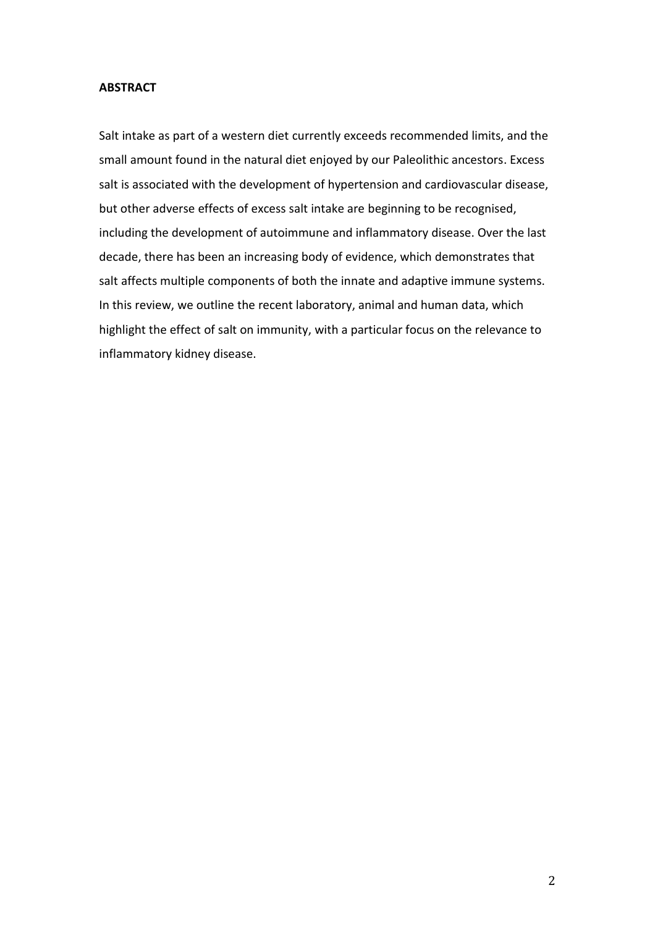## **ABSTRACT**

Salt intake as part of a western diet currently exceeds recommended limits, and the small amount found in the natural diet enjoyed by our Paleolithic ancestors. Excess salt is associated with the development of hypertension and cardiovascular disease, but other adverse effects of excess salt intake are beginning to be recognised, including the development of autoimmune and inflammatory disease. Over the last decade, there has been an increasing body of evidence, which demonstrates that salt affects multiple components of both the innate and adaptive immune systems. In this review, we outline the recent laboratory, animal and human data, which highlight the effect of salt on immunity, with a particular focus on the relevance to inflammatory kidney disease.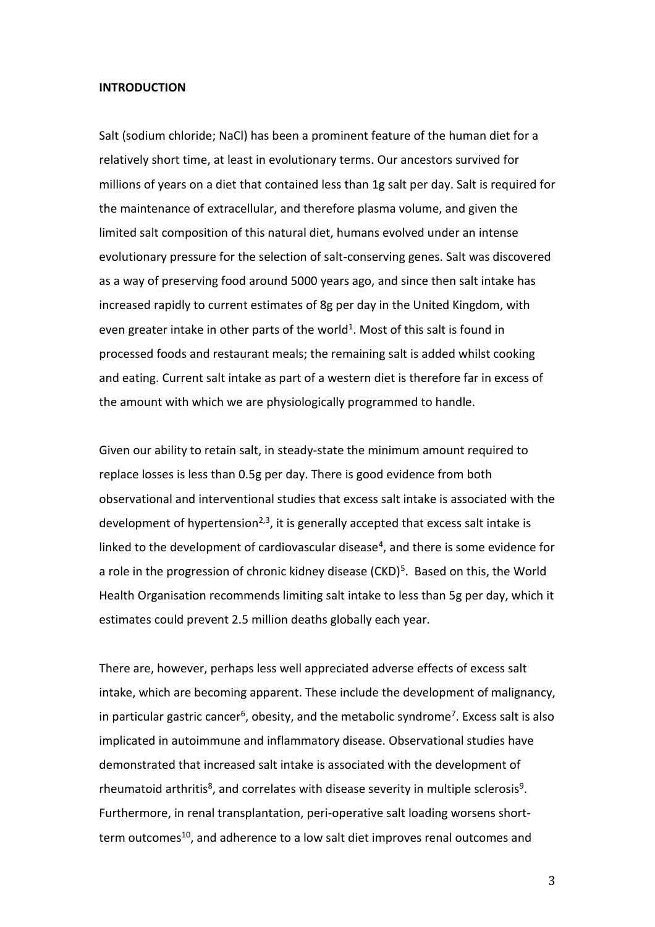#### **INTRODUCTION**

Salt (sodium chloride; NaCl) has been a prominent feature of the human diet for a relatively short time, at least in evolutionary terms. Our ancestors survived for millions of years on a diet that contained less than 1g salt per day. Salt is required for the maintenance of extracellular, and therefore plasma volume, and given the limited salt composition of this natural diet, humans evolved under an intense evolutionary pressure for the selection of salt-conserving genes. Salt was discovered as a way of preserving food around 5000 years ago, and since then salt intake has increased rapidly to current estimates of 8g per day in the United Kingdom, with even greater intake in other parts of the world<sup>1</sup>. Most of this salt is found in processed foods and restaurant meals; the remaining salt is added whilst cooking and eating. Current salt intake as part of a western diet is therefore far in excess of the amount with which we are physiologically programmed to handle.

Given our ability to retain salt, in steady-state the minimum amount required to replace losses is less than 0.5g per day. There is good evidence from both observational and interventional studies that excess salt intake is associated with the development of hypertension<sup>2,3</sup>, it is generally accepted that excess salt intake is linked to the development of cardiovascular disease<sup>4</sup>, and there is some evidence for a role in the progression of chronic kidney disease (CKD)<sup>5</sup>. Based on this, the World Health Organisation recommends limiting salt intake to less than 5g per day, which it estimates could prevent 2.5 million deaths globally each year.

There are, however, perhaps less well appreciated adverse effects of excess salt intake, which are becoming apparent. These include the development of malignancy, in particular gastric cancer<sup>6</sup>, obesity, and the metabolic syndrome<sup>7</sup>. Excess salt is also implicated in autoimmune and inflammatory disease. Observational studies have demonstrated that increased salt intake is associated with the development of rheumatoid arthritis<sup>8</sup>, and correlates with disease severity in multiple sclerosis<sup>9</sup>. Furthermore, in renal transplantation, peri-operative salt loading worsens shortterm outcomes<sup>10</sup>, and adherence to a low salt diet improves renal outcomes and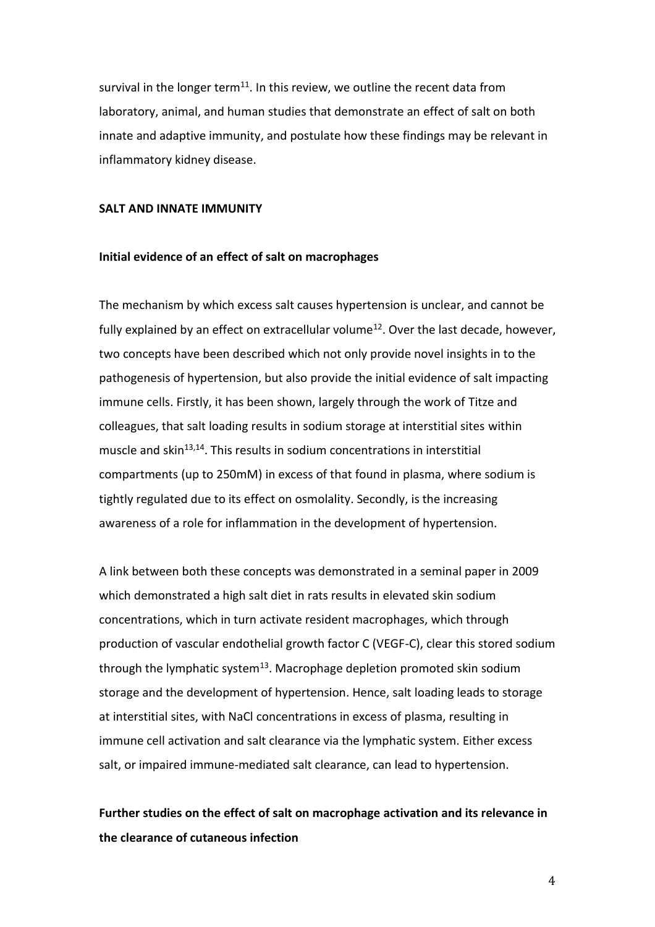survival in the longer term<sup>11</sup>. In this review, we outline the recent data from laboratory, animal, and human studies that demonstrate an effect of salt on both innate and adaptive immunity, and postulate how these findings may be relevant in inflammatory kidney disease.

#### **SALT AND INNATE IMMUNITY**

#### **Initial evidence of an effect of salt on macrophages**

The mechanism by which excess salt causes hypertension is unclear, and cannot be fully explained by an effect on extracellular volume<sup>12</sup>. Over the last decade, however, two concepts have been described which not only provide novel insights in to the pathogenesis of hypertension, but also provide the initial evidence of salt impacting immune cells. Firstly, it has been shown, largely through the work of Titze and colleagues, that salt loading results in sodium storage at interstitial sites within muscle and skin $^{13,14}$ . This results in sodium concentrations in interstitial compartments (up to 250mM) in excess of that found in plasma, where sodium is tightly regulated due to its effect on osmolality. Secondly, is the increasing awareness of a role for inflammation in the development of hypertension.

A link between both these concepts was demonstrated in a seminal paper in 2009 which demonstrated a high salt diet in rats results in elevated skin sodium concentrations, which in turn activate resident macrophages, which through production of vascular endothelial growth factor C (VEGF-C), clear this stored sodium through the lymphatic system $^{13}$ . Macrophage depletion promoted skin sodium storage and the development of hypertension. Hence, salt loading leads to storage at interstitial sites, with NaCl concentrations in excess of plasma, resulting in immune cell activation and salt clearance via the lymphatic system. Either excess salt, or impaired immune-mediated salt clearance, can lead to hypertension.

## **Further studies on the effect of salt on macrophage activation and its relevance in the clearance of cutaneous infection**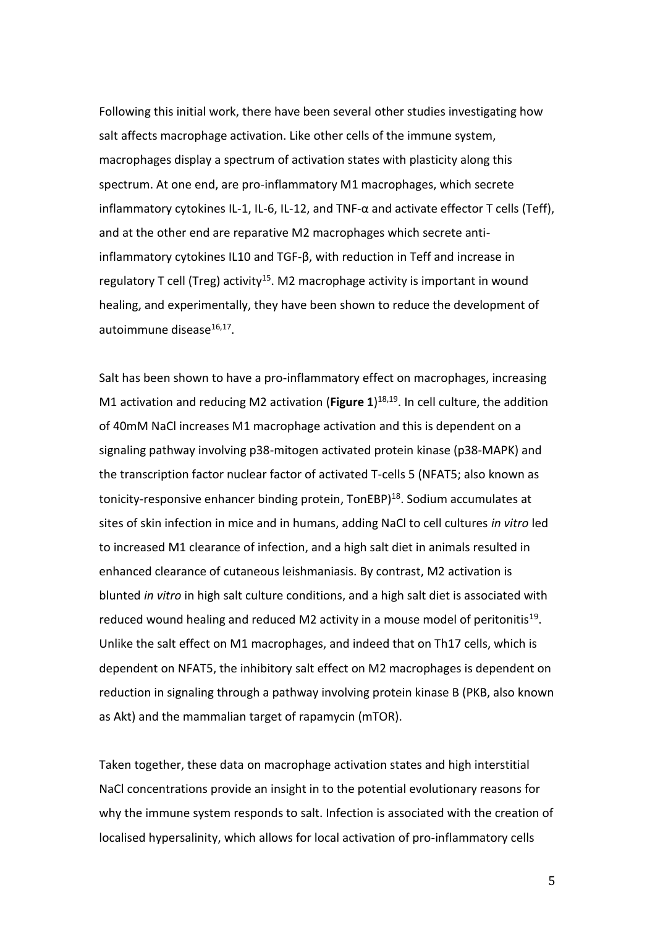Following this initial work, there have been several other studies investigating how salt affects macrophage activation. Like other cells of the immune system, macrophages display a spectrum of activation states with plasticity along this spectrum. At one end, are pro-inflammatory M1 macrophages, which secrete inflammatory cytokines IL-1, IL-6, IL-12, and TNF- $\alpha$  and activate effector T cells (Teff), and at the other end are reparative M2 macrophages which secrete antiinflammatory cytokines IL10 and TGF-β, with reduction in Teff and increase in regulatory T cell (Treg) activity<sup>15</sup>. M2 macrophage activity is important in wound healing, and experimentally, they have been shown to reduce the development of autoimmune disease<sup>16,17</sup>.

Salt has been shown to have a pro-inflammatory effect on macrophages, increasing M1 activation and reducing M2 activation (**Figure 1**) 18,19 . In cell culture, the addition of 40mM NaCl increases M1 macrophage activation and this is dependent on a signaling pathway involving p38-mitogen activated protein kinase (p38-MAPK) and the transcription factor nuclear factor of activated T-cells 5 (NFAT5; also known as tonicity-responsive enhancer binding protein, TonEBP)<sup>18</sup>. Sodium accumulates at sites of skin infection in mice and in humans, adding NaCl to cell cultures *in vitro* led to increased M1 clearance of infection, and a high salt diet in animals resulted in enhanced clearance of cutaneous leishmaniasis. By contrast, M2 activation is blunted *in vitro* in high salt culture conditions, and a high salt diet is associated with reduced wound healing and reduced M2 activity in a mouse model of peritonitis<sup>19</sup>. Unlike the salt effect on M1 macrophages, and indeed that on Th17 cells, which is dependent on NFAT5, the inhibitory salt effect on M2 macrophages is dependent on reduction in signaling through a pathway involving protein kinase B (PKB, also known as Akt) and the mammalian target of rapamycin (mTOR).

Taken together, these data on macrophage activation states and high interstitial NaCl concentrations provide an insight in to the potential evolutionary reasons for why the immune system responds to salt. Infection is associated with the creation of localised hypersalinity, which allows for local activation of pro-inflammatory cells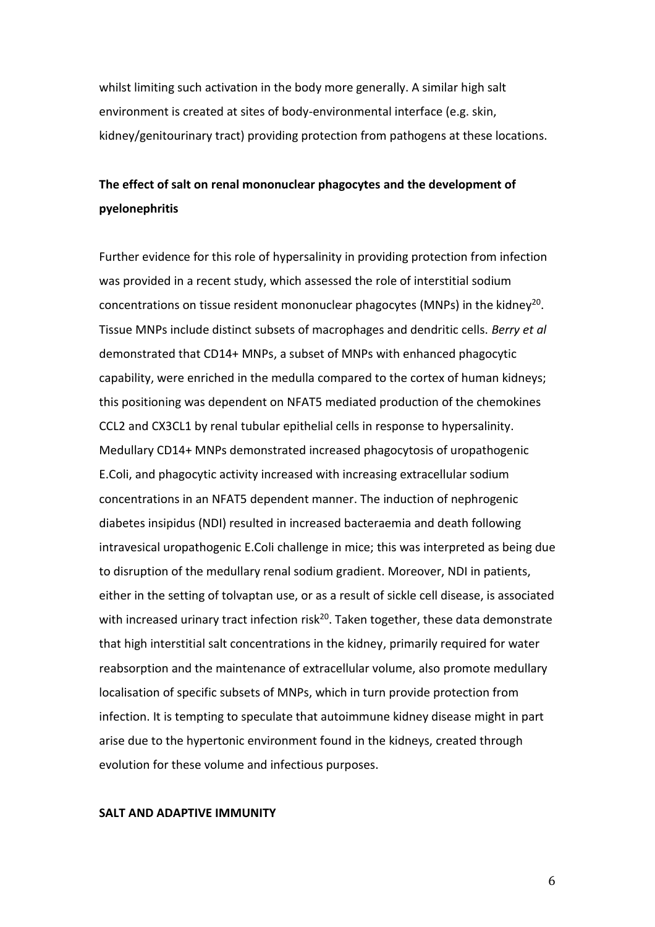whilst limiting such activation in the body more generally. A similar high salt environment is created at sites of body-environmental interface (e.g. skin, kidney/genitourinary tract) providing protection from pathogens at these locations.

## **The effect of salt on renal mononuclear phagocytes and the development of pyelonephritis**

Further evidence for this role of hypersalinity in providing protection from infection was provided in a recent study, which assessed the role of interstitial sodium concentrations on tissue resident mononuclear phagocytes (MNPs) in the kidney<sup>20</sup>. Tissue MNPs include distinct subsets of macrophages and dendritic cells. *Berry et al* demonstrated that CD14+ MNPs, a subset of MNPs with enhanced phagocytic capability, were enriched in the medulla compared to the cortex of human kidneys; this positioning was dependent on NFAT5 mediated production of the chemokines CCL2 and CX3CL1 by renal tubular epithelial cells in response to hypersalinity. Medullary CD14+ MNPs demonstrated increased phagocytosis of uropathogenic E.Coli, and phagocytic activity increased with increasing extracellular sodium concentrations in an NFAT5 dependent manner. The induction of nephrogenic diabetes insipidus (NDI) resulted in increased bacteraemia and death following intravesical uropathogenic E.Coli challenge in mice; this was interpreted as being due to disruption of the medullary renal sodium gradient. Moreover, NDI in patients, either in the setting of tolvaptan use, or as a result of sickle cell disease, is associated with increased urinary tract infection risk<sup>20</sup>. Taken together, these data demonstrate that high interstitial salt concentrations in the kidney, primarily required for water reabsorption and the maintenance of extracellular volume, also promote medullary localisation of specific subsets of MNPs, which in turn provide protection from infection. It is tempting to speculate that autoimmune kidney disease might in part arise due to the hypertonic environment found in the kidneys, created through evolution for these volume and infectious purposes.

#### **SALT AND ADAPTIVE IMMUNITY**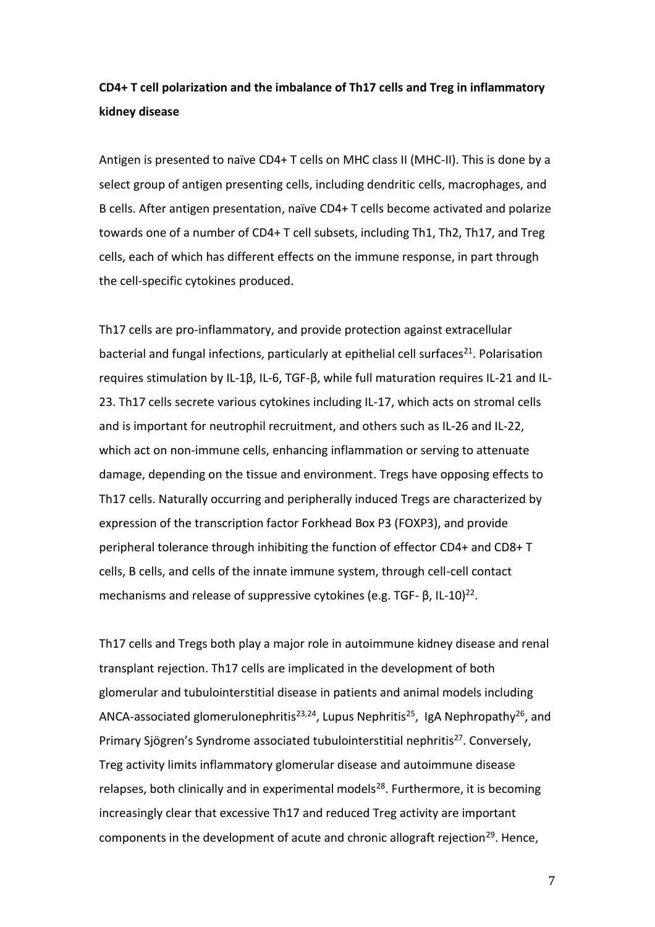## **CD4+ T cell polarization and the imbalance of Th17 cells and Treg in inflammatory kidney disease**

Antigen is presented to naïve CD4+ T cells on MHC class II (MHC-II). This is done by a select group of antigen presenting cells, including dendritic cells, macrophages, and B cells. After antigen presentation, naïve CD4+ T cells become activated and polarize towards one of a number of CD4+ T cell subsets, including Th1, Th2, Th17, and Treg cells, each of which has different effects on the immune response, in part through the cell-specific cytokines produced.

Th17 cells are pro-inflammatory, and provide protection against extracellular bacterial and fungal infections, particularly at epithelial cell surfaces<sup>21</sup>. Polarisation requires stimulation by IL-1β, IL-6, TGF-β, while full maturation requires IL-21 and IL-23. Th17 cells secrete various cytokines including IL-17, which acts on stromal cells and is important for neutrophil recruitment, and others such as IL-26 and IL-22, which act on non-immune cells, enhancing inflammation or serving to attenuate damage, depending on the tissue and environment. Tregs have opposing effects to Th17 cells. Naturally occurring and peripherally induced Tregs are characterized by expression of the transcription factor Forkhead Box P3 (FOXP3), and provide peripheral tolerance through inhibiting the function of effector CD4+ and CD8+ T cells, B cells, and cells of the innate immune system, through cell-cell contact mechanisms and release of suppressive cytokines (e.g. TGF- β, IL-10)<sup>22</sup>.

Th17 cells and Tregs both play a major role in autoimmune kidney disease and renal transplant rejection. Th17 cells are implicated in the development of both glomerular and tubulointerstitial disease in patients and animal models including ANCA-associated glomerulonephritis<sup>23,24</sup>, Lupus Nephritis<sup>25</sup>, IgA Nephropathy<sup>26</sup>, and Primary Sjögren's Syndrome associated tubulointerstitial nephritis<sup>27</sup>. Conversely, Treg activity limits inflammatory glomerular disease and autoimmune disease relapses, both clinically and in experimental models<sup>28</sup>. Furthermore, it is becoming increasingly clear that excessive Th17 and reduced Treg activity are important components in the development of acute and chronic allograft rejection<sup>29</sup>. Hence,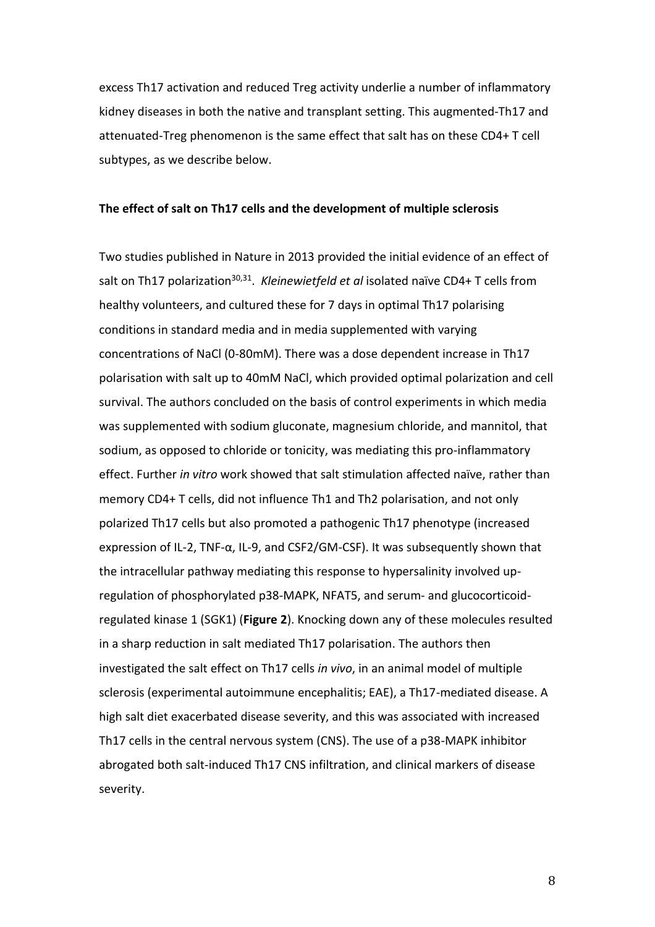excess Th17 activation and reduced Treg activity underlie a number of inflammatory kidney diseases in both the native and transplant setting. This augmented-Th17 and attenuated-Treg phenomenon is the same effect that salt has on these CD4+ T cell subtypes, as we describe below.

#### **The effect of salt on Th17 cells and the development of multiple sclerosis**

Two studies published in Nature in 2013 provided the initial evidence of an effect of salt on Th17 polarization<sup>30,31</sup>. Kleinewietfeld et al isolated naïve CD4+ T cells from healthy volunteers, and cultured these for 7 days in optimal Th17 polarising conditions in standard media and in media supplemented with varying concentrations of NaCl (0-80mM). There was a dose dependent increase in Th17 polarisation with salt up to 40mM NaCl, which provided optimal polarization and cell survival. The authors concluded on the basis of control experiments in which media was supplemented with sodium gluconate, magnesium chloride, and mannitol, that sodium, as opposed to chloride or tonicity, was mediating this pro-inflammatory effect. Further *in vitro* work showed that salt stimulation affected naïve, rather than memory CD4+ T cells, did not influence Th1 and Th2 polarisation, and not only polarized Th17 cells but also promoted a pathogenic Th17 phenotype (increased expression of IL-2, TNF-α, IL-9, and CSF2/GM-CSF). It was subsequently shown that the intracellular pathway mediating this response to hypersalinity involved upregulation of phosphorylated p38-MAPK, NFAT5, and serum- and glucocorticoidregulated kinase 1 (SGK1) (**Figure 2**). Knocking down any of these molecules resulted in a sharp reduction in salt mediated Th17 polarisation. The authors then investigated the salt effect on Th17 cells *in vivo*, in an animal model of multiple sclerosis (experimental autoimmune encephalitis; EAE), a Th17-mediated disease. A high salt diet exacerbated disease severity, and this was associated with increased Th17 cells in the central nervous system (CNS). The use of a p38-MAPK inhibitor abrogated both salt-induced Th17 CNS infiltration, and clinical markers of disease severity.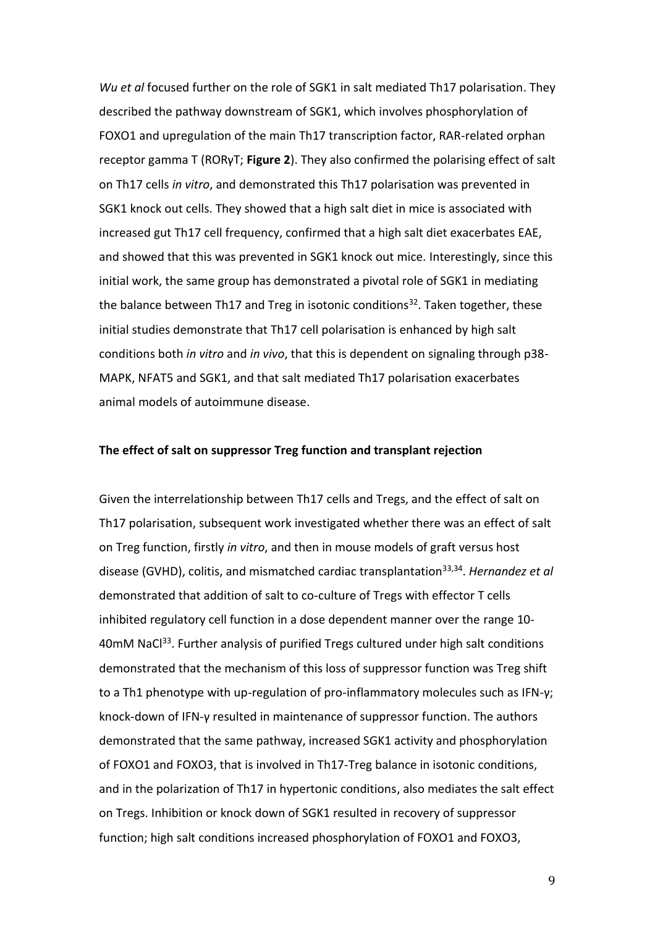*Wu et al* focused further on the role of SGK1 in salt mediated Th17 polarisation. They described the pathway downstream of SGK1, which involves phosphorylation of FOXO1 and upregulation of the main Th17 transcription factor, RAR-related orphan receptor gamma T (RORγT; **Figure 2**). They also confirmed the polarising effect of salt on Th17 cells *in vitro*, and demonstrated this Th17 polarisation was prevented in SGK1 knock out cells. They showed that a high salt diet in mice is associated with increased gut Th17 cell frequency, confirmed that a high salt diet exacerbates EAE, and showed that this was prevented in SGK1 knock out mice. Interestingly, since this initial work, the same group has demonstrated a pivotal role of SGK1 in mediating the balance between Th17 and Treg in isotonic conditions<sup>32</sup>. Taken together, these initial studies demonstrate that Th17 cell polarisation is enhanced by high salt conditions both *in vitro* and *in vivo*, that this is dependent on signaling through p38- MAPK, NFAT5 and SGK1, and that salt mediated Th17 polarisation exacerbates animal models of autoimmune disease.

#### **The effect of salt on suppressor Treg function and transplant rejection**

Given the interrelationship between Th17 cells and Tregs, and the effect of salt on Th17 polarisation, subsequent work investigated whether there was an effect of salt on Treg function, firstly *in vitro*, and then in mouse models of graft versus host disease (GVHD), colitis, and mismatched cardiac transplantation<sup>33,34</sup>. *Hernandez et al* demonstrated that addition of salt to co-culture of Tregs with effector T cells inhibited regulatory cell function in a dose dependent manner over the range 10- 40mM NaCl<sup>33</sup>. Further analysis of purified Tregs cultured under high salt conditions demonstrated that the mechanism of this loss of suppressor function was Treg shift to a Th1 phenotype with up-regulation of pro-inflammatory molecules such as IFN-γ; knock-down of IFN-γ resulted in maintenance of suppressor function. The authors demonstrated that the same pathway, increased SGK1 activity and phosphorylation of FOXO1 and FOXO3, that is involved in Th17-Treg balance in isotonic conditions, and in the polarization of Th17 in hypertonic conditions, also mediates the salt effect on Tregs. Inhibition or knock down of SGK1 resulted in recovery of suppressor function; high salt conditions increased phosphorylation of FOXO1 and FOXO3,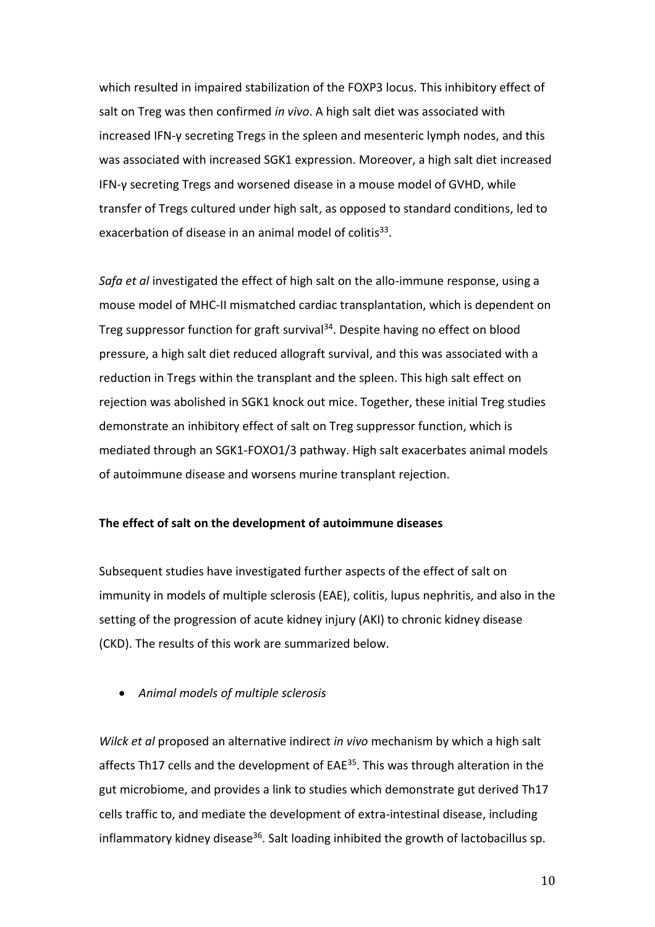which resulted in impaired stabilization of the FOXP3 locus. This inhibitory effect of salt on Treg was then confirmed *in vivo*. A high salt diet was associated with increased IFN-γ secreting Tregs in the spleen and mesenteric lymph nodes, and this was associated with increased SGK1 expression. Moreover, a high salt diet increased IFN-γ secreting Tregs and worsened disease in a mouse model of GVHD, while transfer of Tregs cultured under high salt, as opposed to standard conditions, led to exacerbation of disease in an animal model of colitis $^{33}$ .

*Safa et al* investigated the effect of high salt on the allo-immune response, using a mouse model of MHC-II mismatched cardiac transplantation, which is dependent on Treg suppressor function for graft survival<sup>34</sup>. Despite having no effect on blood pressure, a high salt diet reduced allograft survival, and this was associated with a reduction in Tregs within the transplant and the spleen. This high salt effect on rejection was abolished in SGK1 knock out mice. Together, these initial Treg studies demonstrate an inhibitory effect of salt on Treg suppressor function, which is mediated through an SGK1-FOXO1/3 pathway. High salt exacerbates animal models of autoimmune disease and worsens murine transplant rejection.

### **The effect of salt on the development of autoimmune diseases**

Subsequent studies have investigated further aspects of the effect of salt on immunity in models of multiple sclerosis (EAE), colitis, lupus nephritis, and also in the setting of the progression of acute kidney injury (AKI) to chronic kidney disease (CKD). The results of this work are summarized below.

*Animal models of multiple sclerosis*

*Wilck et al* proposed an alternative indirect *in vivo* mechanism by which a high salt affects Th17 cells and the development of EAE<sup>35</sup>. This was through alteration in the gut microbiome, and provides a link to studies which demonstrate gut derived Th17 cells traffic to, and mediate the development of extra-intestinal disease, including inflammatory kidney disease<sup>36</sup>. Salt loading inhibited the growth of lactobacillus sp.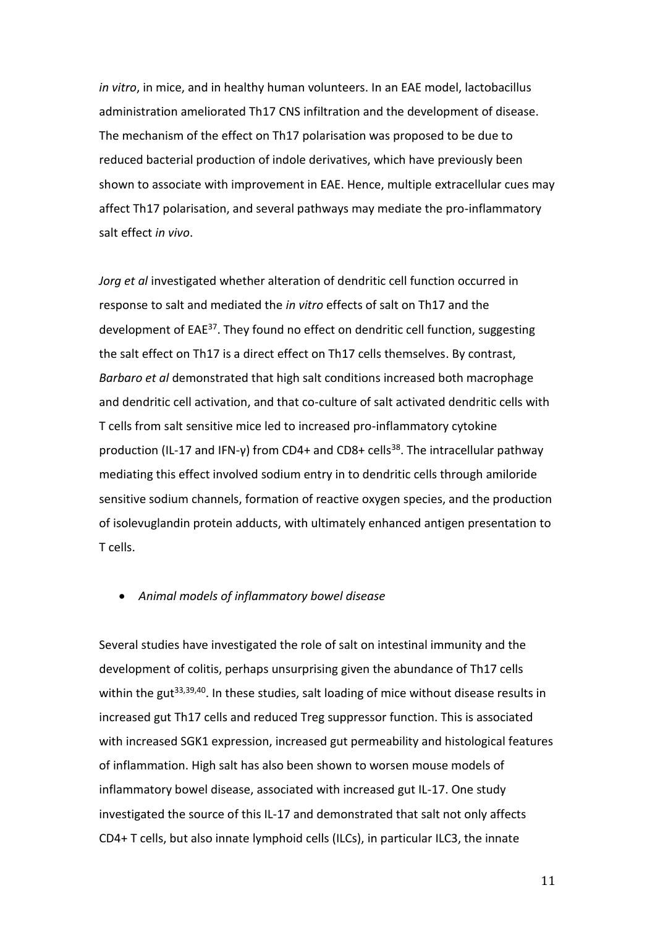*in vitro*, in mice, and in healthy human volunteers. In an EAE model, lactobacillus administration ameliorated Th17 CNS infiltration and the development of disease. The mechanism of the effect on Th17 polarisation was proposed to be due to reduced bacterial production of indole derivatives, which have previously been shown to associate with improvement in EAE. Hence, multiple extracellular cues may affect Th17 polarisation, and several pathways may mediate the pro-inflammatory salt effect *in vivo*.

*Jorg et al* investigated whether alteration of dendritic cell function occurred in response to salt and mediated the *in vitro* effects of salt on Th17 and the development of EAE<sup>37</sup>. They found no effect on dendritic cell function, suggesting the salt effect on Th17 is a direct effect on Th17 cells themselves. By contrast, *Barbaro et al* demonstrated that high salt conditions increased both macrophage and dendritic cell activation, and that co-culture of salt activated dendritic cells with T cells from salt sensitive mice led to increased pro-inflammatory cytokine production (IL-17 and IFN-γ) from CD4+ and CD8+ cells<sup>38</sup>. The intracellular pathway mediating this effect involved sodium entry in to dendritic cells through amiloride sensitive sodium channels, formation of reactive oxygen species, and the production of isolevuglandin protein adducts, with ultimately enhanced antigen presentation to T cells.

### *Animal models of inflammatory bowel disease*

Several studies have investigated the role of salt on intestinal immunity and the development of colitis, perhaps unsurprising given the abundance of Th17 cells within the gut<sup>33,39,40</sup>. In these studies, salt loading of mice without disease results in increased gut Th17 cells and reduced Treg suppressor function. This is associated with increased SGK1 expression, increased gut permeability and histological features of inflammation. High salt has also been shown to worsen mouse models of inflammatory bowel disease, associated with increased gut IL-17. One study investigated the source of this IL-17 and demonstrated that salt not only affects CD4+ T cells, but also innate lymphoid cells (ILCs), in particular ILC3, the innate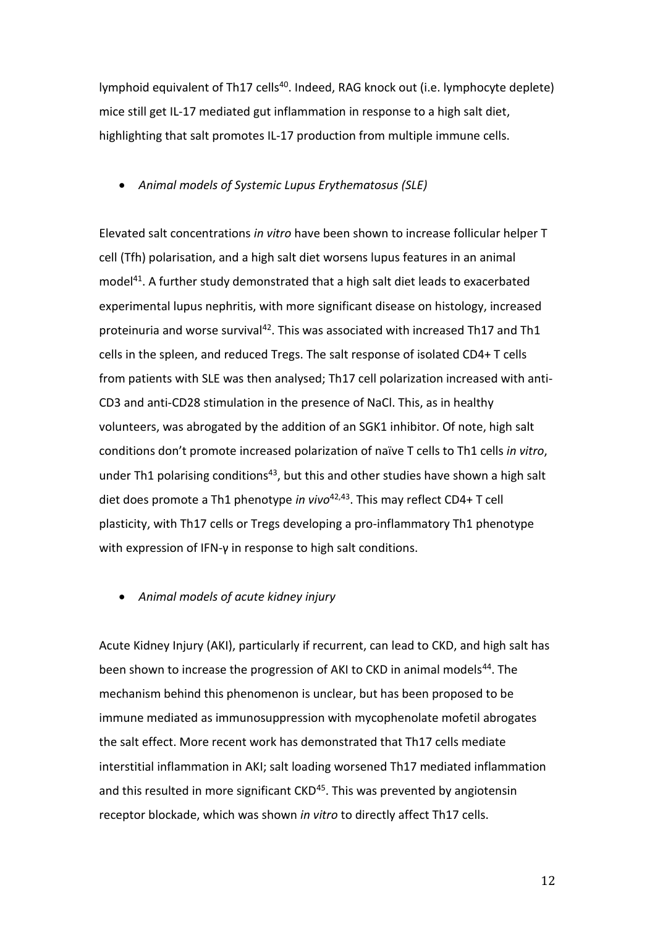lymphoid equivalent of Th17 cells<sup>40</sup>. Indeed, RAG knock out (i.e. lymphocyte deplete) mice still get IL-17 mediated gut inflammation in response to a high salt diet, highlighting that salt promotes IL-17 production from multiple immune cells.

*Animal models of Systemic Lupus Erythematosus (SLE)*

Elevated salt concentrations *in vitro* have been shown to increase follicular helper T cell (Tfh) polarisation, and a high salt diet worsens lupus features in an animal model<sup>41</sup>. A further study demonstrated that a high salt diet leads to exacerbated experimental lupus nephritis, with more significant disease on histology, increased proteinuria and worse survival<sup>42</sup>. This was associated with increased Th17 and Th1 cells in the spleen, and reduced Tregs. The salt response of isolated CD4+ T cells from patients with SLE was then analysed; Th17 cell polarization increased with anti-CD3 and anti-CD28 stimulation in the presence of NaCl. This, as in healthy volunteers, was abrogated by the addition of an SGK1 inhibitor. Of note, high salt conditions don't promote increased polarization of naïve T cells to Th1 cells *in vitro*, under Th1 polarising conditions<sup>43</sup>, but this and other studies have shown a high salt diet does promote a Th1 phenotype *in vivo*42,43. This may reflect CD4+ T cell plasticity, with Th17 cells or Tregs developing a pro-inflammatory Th1 phenotype with expression of IFN-γ in response to high salt conditions.

*Animal models of acute kidney injury*

Acute Kidney Injury (AKI), particularly if recurrent, can lead to CKD, and high salt has been shown to increase the progression of AKI to CKD in animal models<sup>44</sup>. The mechanism behind this phenomenon is unclear, but has been proposed to be immune mediated as immunosuppression with mycophenolate mofetil abrogates the salt effect. More recent work has demonstrated that Th17 cells mediate interstitial inflammation in AKI; salt loading worsened Th17 mediated inflammation and this resulted in more significant CKD<sup>45</sup>. This was prevented by angiotensin receptor blockade, which was shown *in vitro* to directly affect Th17 cells.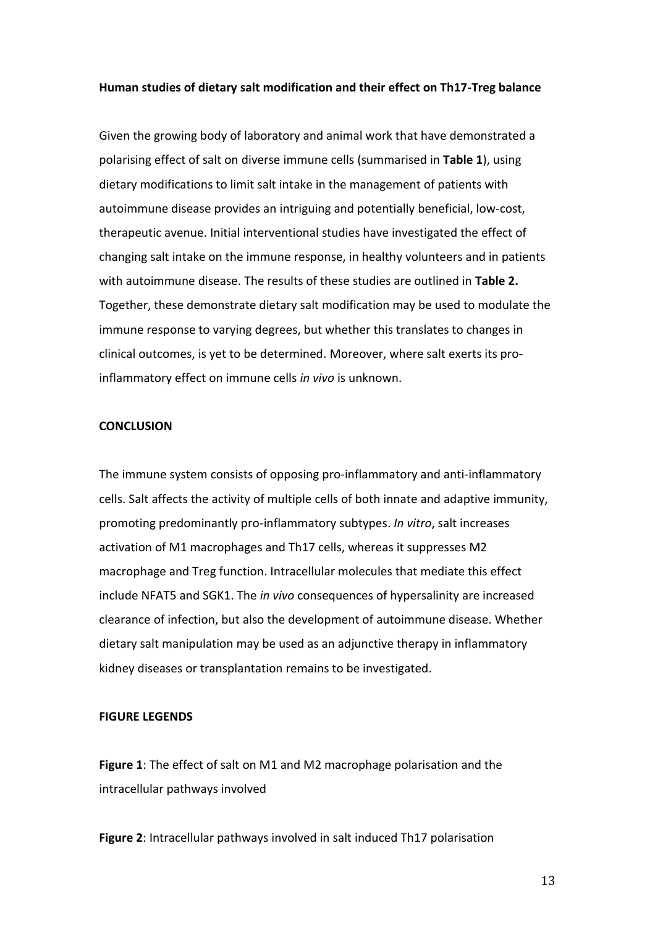#### **Human studies of dietary salt modification and their effect on Th17-Treg balance**

Given the growing body of laboratory and animal work that have demonstrated a polarising effect of salt on diverse immune cells (summarised in **Table 1**), using dietary modifications to limit salt intake in the management of patients with autoimmune disease provides an intriguing and potentially beneficial, low-cost, therapeutic avenue. Initial interventional studies have investigated the effect of changing salt intake on the immune response, in healthy volunteers and in patients with autoimmune disease. The results of these studies are outlined in **Table 2.** Together, these demonstrate dietary salt modification may be used to modulate the immune response to varying degrees, but whether this translates to changes in clinical outcomes, is yet to be determined. Moreover, where salt exerts its proinflammatory effect on immune cells *in vivo* is unknown.

#### **CONCLUSION**

The immune system consists of opposing pro-inflammatory and anti-inflammatory cells. Salt affects the activity of multiple cells of both innate and adaptive immunity, promoting predominantly pro-inflammatory subtypes. *In vitro*, salt increases activation of M1 macrophages and Th17 cells, whereas it suppresses M2 macrophage and Treg function. Intracellular molecules that mediate this effect include NFAT5 and SGK1. The *in vivo* consequences of hypersalinity are increased clearance of infection, but also the development of autoimmune disease. Whether dietary salt manipulation may be used as an adjunctive therapy in inflammatory kidney diseases or transplantation remains to be investigated.

### **FIGURE LEGENDS**

**Figure 1**: The effect of salt on M1 and M2 macrophage polarisation and the intracellular pathways involved

**Figure 2**: Intracellular pathways involved in salt induced Th17 polarisation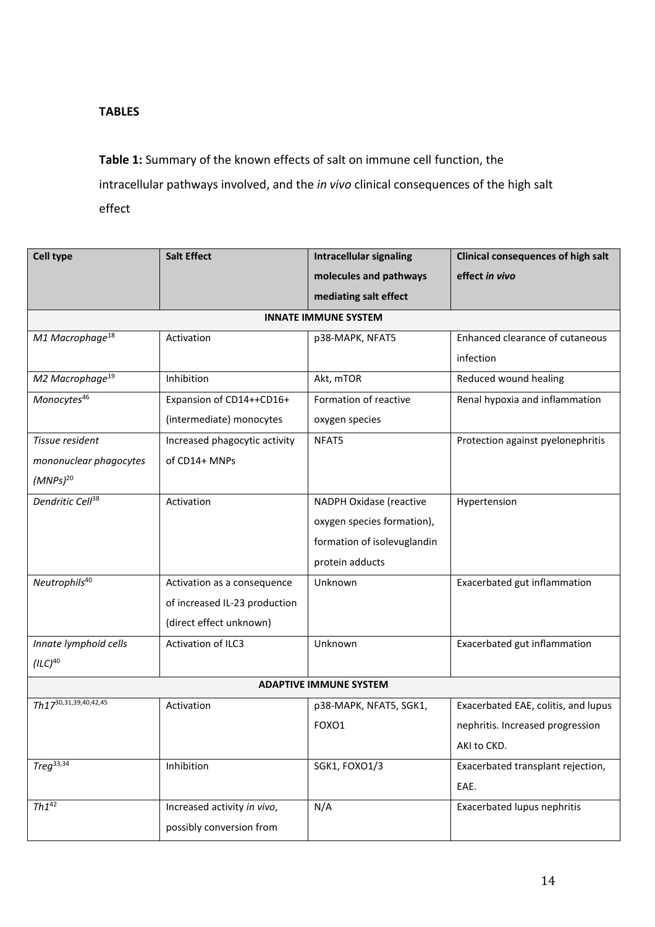## **TABLES**

**Table 1:** Summary of the known effects of salt on immune cell function, the intracellular pathways involved, and the *in vivo* clinical consequences of the high salt effect

| <b>Cell type</b>              | <b>Salt Effect</b>            | <b>Intracellular signaling</b> | <b>Clinical consequences of high salt</b> |  |  |  |
|-------------------------------|-------------------------------|--------------------------------|-------------------------------------------|--|--|--|
|                               |                               | molecules and pathways         | effect in vivo                            |  |  |  |
|                               |                               | mediating salt effect          |                                           |  |  |  |
| <b>INNATE IMMUNE SYSTEM</b>   |                               |                                |                                           |  |  |  |
| M1 Macrophage <sup>18</sup>   | Activation                    | p38-MAPK, NFAT5                | Enhanced clearance of cutaneous           |  |  |  |
|                               |                               |                                | infection                                 |  |  |  |
| M2 Macrophage <sup>19</sup>   | Inhibition                    | Akt, mTOR                      | Reduced wound healing                     |  |  |  |
| Monocytes <sup>46</sup>       | Expansion of CD14++CD16+      | Formation of reactive          | Renal hypoxia and inflammation            |  |  |  |
|                               | (intermediate) monocytes      | oxygen species                 |                                           |  |  |  |
| Tissue resident               | Increased phagocytic activity | NFAT5                          | Protection against pyelonephritis         |  |  |  |
| mononuclear phagocytes        | of CD14+ MNPs                 |                                |                                           |  |  |  |
| $(MNPS)^{20}$                 |                               |                                |                                           |  |  |  |
| Dendritic Cell <sup>38</sup>  | Activation                    | NADPH Oxidase (reactive        | Hypertension                              |  |  |  |
|                               |                               | oxygen species formation),     |                                           |  |  |  |
|                               |                               | formation of isolevuglandin    |                                           |  |  |  |
|                               |                               | protein adducts                |                                           |  |  |  |
| Neutrophils <sup>40</sup>     | Activation as a consequence   | Unknown                        | Exacerbated gut inflammation              |  |  |  |
|                               | of increased IL-23 production |                                |                                           |  |  |  |
|                               | (direct effect unknown)       |                                |                                           |  |  |  |
| Innate lymphoid cells         | Activation of ILC3            | Unknown                        | Exacerbated gut inflammation              |  |  |  |
| $(ILC)^{40}$                  |                               |                                |                                           |  |  |  |
| <b>ADAPTIVE IMMUNE SYSTEM</b> |                               |                                |                                           |  |  |  |
| Th1730, 31, 39, 40, 42, 45    | Activation                    | p38-MAPK, NFAT5, SGK1,         | Exacerbated EAE, colitis, and lupus       |  |  |  |
|                               |                               | FOXO1                          | nephritis. Increased progression          |  |  |  |
|                               |                               |                                | AKI to CKD.                               |  |  |  |
| $Treq^{33,34}$                | Inhibition                    | SGK1, FOXO1/3                  | Exacerbated transplant rejection,         |  |  |  |
|                               |                               |                                | EAE.                                      |  |  |  |
| $Th1^{42}$                    | Increased activity in vivo,   | N/A                            | Exacerbated lupus nephritis               |  |  |  |
|                               | possibly conversion from      |                                |                                           |  |  |  |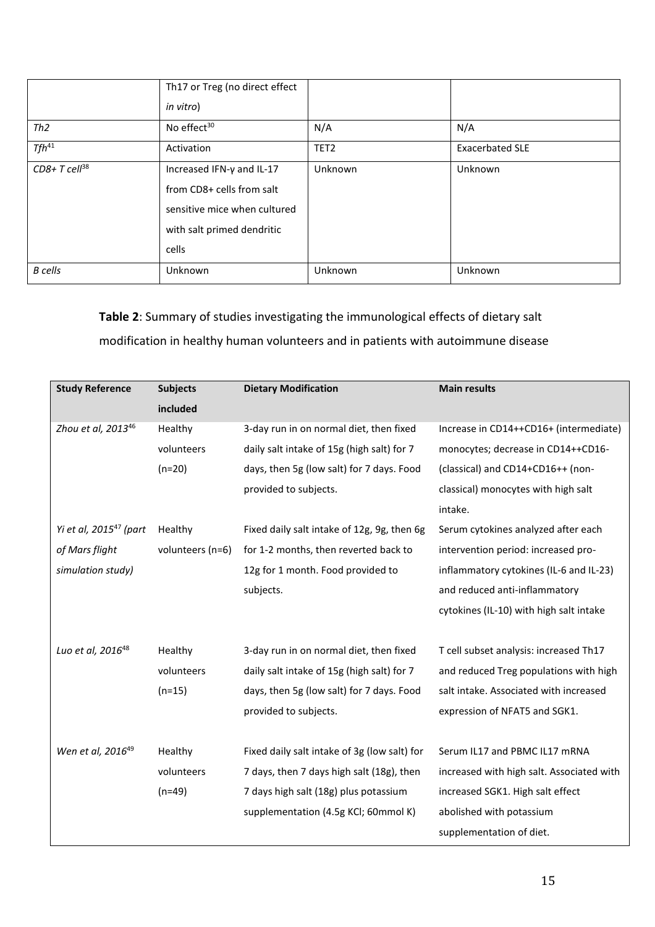|                            | Th17 or Treg (no direct effect<br>in vitro)                                                                                   |         |                        |
|----------------------------|-------------------------------------------------------------------------------------------------------------------------------|---------|------------------------|
| Th2                        | No effect <sup>30</sup>                                                                                                       | N/A     | N/A                    |
| $Tfh^{41}$                 | TET <sub>2</sub><br>Activation                                                                                                |         | <b>Exacerbated SLE</b> |
| $CD8+T$ cell <sup>38</sup> | Increased IFN-γ and IL-17<br>from CD8+ cells from salt<br>sensitive mice when cultured<br>with salt primed dendritic<br>cells | Unknown | Unknown                |
| <b>B</b> cells             | Unknown                                                                                                                       | Unknown | Unknown                |

# **Table 2**: Summary of studies investigating the immunological effects of dietary salt modification in healthy human volunteers and in patients with autoimmune disease

| <b>Study Reference</b>         | <b>Subjects</b>  | <b>Dietary Modification</b>                  | <b>Main results</b>                       |
|--------------------------------|------------------|----------------------------------------------|-------------------------------------------|
|                                | included         |                                              |                                           |
| Zhou et al, 2013 <sup>46</sup> | Healthy          | 3-day run in on normal diet, then fixed      | Increase in CD14++CD16+ (intermediate)    |
|                                | volunteers       | daily salt intake of 15g (high salt) for 7   | monocytes; decrease in CD14++CD16-        |
|                                | $(n=20)$         | days, then 5g (low salt) for 7 days. Food    | (classical) and CD14+CD16++ (non-         |
|                                |                  | provided to subjects.                        | classical) monocytes with high salt       |
|                                |                  |                                              | intake.                                   |
| Yi et al, $2015^{47}$ (part    | Healthy          | Fixed daily salt intake of 12g, 9g, then 6g  | Serum cytokines analyzed after each       |
| of Mars flight                 | volunteers (n=6) | for 1-2 months, then reverted back to        | intervention period: increased pro-       |
| simulation study)              |                  | 12g for 1 month. Food provided to            | inflammatory cytokines (IL-6 and IL-23)   |
|                                |                  | subjects.                                    | and reduced anti-inflammatory             |
|                                |                  |                                              | cytokines (IL-10) with high salt intake   |
|                                |                  |                                              |                                           |
| Luo et al, 2016 <sup>48</sup>  | Healthy          | 3-day run in on normal diet, then fixed      | T cell subset analysis: increased Th17    |
|                                | volunteers       | daily salt intake of 15g (high salt) for 7   | and reduced Treg populations with high    |
|                                | $(n=15)$         | days, then 5g (low salt) for 7 days. Food    | salt intake. Associated with increased    |
|                                |                  | provided to subjects.                        | expression of NFAT5 and SGK1.             |
|                                |                  |                                              |                                           |
| Wen et al, 2016 <sup>49</sup>  | Healthy          | Fixed daily salt intake of 3g (low salt) for | Serum IL17 and PBMC IL17 mRNA             |
|                                | volunteers       | 7 days, then 7 days high salt (18g), then    | increased with high salt. Associated with |
|                                | $(n=49)$         | 7 days high salt (18g) plus potassium        | increased SGK1. High salt effect          |
|                                |                  | supplementation (4.5g KCl; 60mmol K)         | abolished with potassium                  |
|                                |                  |                                              | supplementation of diet.                  |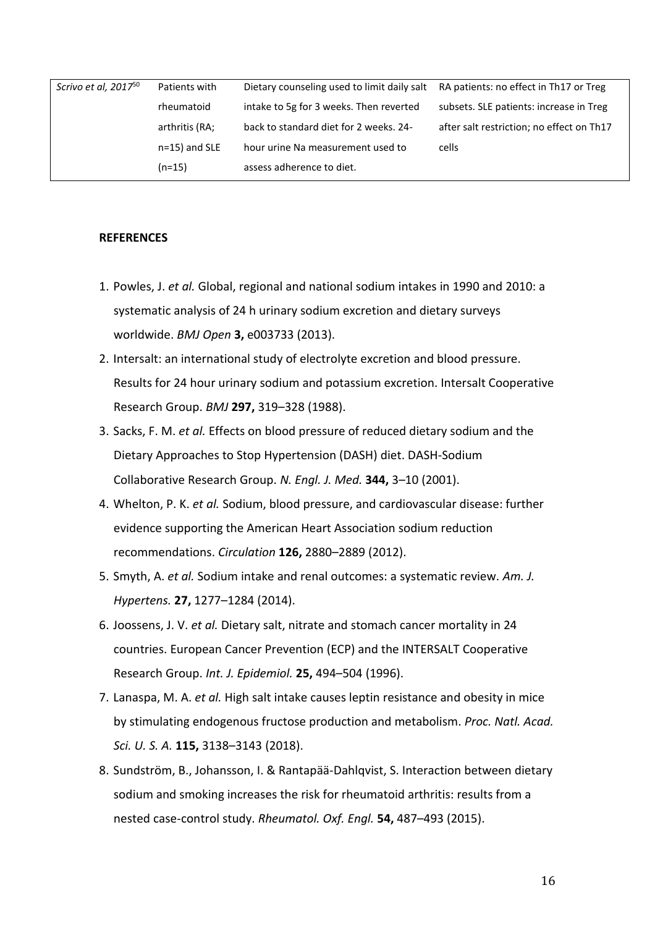| Scrivo et al, 2017 <sup>50</sup> | Patients with    | Dietary counseling used to limit daily salt | RA patients: no effect in Th17 or Treg    |
|----------------------------------|------------------|---------------------------------------------|-------------------------------------------|
|                                  | rheumatoid       | intake to 5g for 3 weeks. Then reverted     | subsets. SLE patients: increase in Treg   |
|                                  | arthritis (RA;   | back to standard diet for 2 weeks. 24-      | after salt restriction; no effect on Th17 |
|                                  | $n=15$ ) and SLE | hour urine Na measurement used to           | cells                                     |
|                                  | (n=15)           | assess adherence to diet.                   |                                           |
|                                  |                  |                                             |                                           |

#### **REFERENCES**

- 1. Powles, J. *et al.* Global, regional and national sodium intakes in 1990 and 2010: a systematic analysis of 24 h urinary sodium excretion and dietary surveys worldwide. *BMJ Open* **3,** e003733 (2013).
- 2. Intersalt: an international study of electrolyte excretion and blood pressure. Results for 24 hour urinary sodium and potassium excretion. Intersalt Cooperative Research Group. *BMJ* **297,** 319–328 (1988).
- 3. Sacks, F. M. *et al.* Effects on blood pressure of reduced dietary sodium and the Dietary Approaches to Stop Hypertension (DASH) diet. DASH-Sodium Collaborative Research Group. *N. Engl. J. Med.* **344,** 3–10 (2001).
- 4. Whelton, P. K. *et al.* Sodium, blood pressure, and cardiovascular disease: further evidence supporting the American Heart Association sodium reduction recommendations. *Circulation* **126,** 2880–2889 (2012).
- 5. Smyth, A. *et al.* Sodium intake and renal outcomes: a systematic review. *Am. J. Hypertens.* **27,** 1277–1284 (2014).
- 6. Joossens, J. V. *et al.* Dietary salt, nitrate and stomach cancer mortality in 24 countries. European Cancer Prevention (ECP) and the INTERSALT Cooperative Research Group. *Int. J. Epidemiol.* **25,** 494–504 (1996).
- 7. Lanaspa, M. A. *et al.* High salt intake causes leptin resistance and obesity in mice by stimulating endogenous fructose production and metabolism. *Proc. Natl. Acad. Sci. U. S. A.* **115,** 3138–3143 (2018).
- 8. Sundström, B., Johansson, I. & Rantapää-Dahlqvist, S. Interaction between dietary sodium and smoking increases the risk for rheumatoid arthritis: results from a nested case-control study. *Rheumatol. Oxf. Engl.* **54,** 487–493 (2015).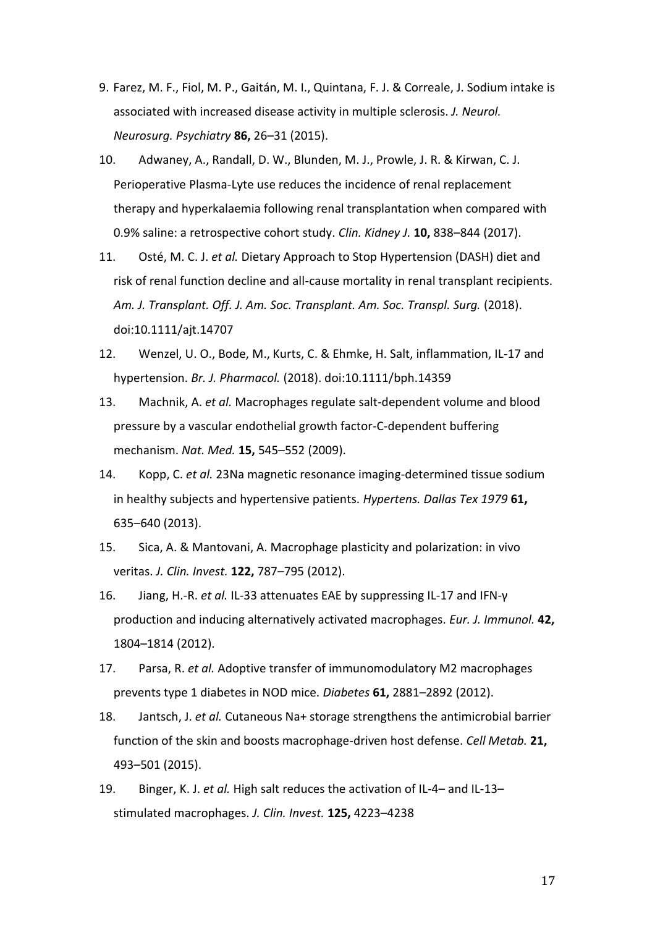- 9. Farez, M. F., Fiol, M. P., Gaitán, M. I., Quintana, F. J. & Correale, J. Sodium intake is associated with increased disease activity in multiple sclerosis. *J. Neurol. Neurosurg. Psychiatry* **86,** 26–31 (2015).
- 10. Adwaney, A., Randall, D. W., Blunden, M. J., Prowle, J. R. & Kirwan, C. J. Perioperative Plasma-Lyte use reduces the incidence of renal replacement therapy and hyperkalaemia following renal transplantation when compared with 0.9% saline: a retrospective cohort study. *Clin. Kidney J.* **10,** 838–844 (2017).
- 11. Osté, M. C. J. *et al.* Dietary Approach to Stop Hypertension (DASH) diet and risk of renal function decline and all-cause mortality in renal transplant recipients. *Am. J. Transplant. Off. J. Am. Soc. Transplant. Am. Soc. Transpl. Surg.* (2018). doi:10.1111/ajt.14707
- 12. Wenzel, U. O., Bode, M., Kurts, C. & Ehmke, H. Salt, inflammation, IL-17 and hypertension. *Br. J. Pharmacol.* (2018). doi:10.1111/bph.14359
- 13. Machnik, A. *et al.* Macrophages regulate salt-dependent volume and blood pressure by a vascular endothelial growth factor-C-dependent buffering mechanism. *Nat. Med.* **15,** 545–552 (2009).
- 14. Kopp, C. *et al.* 23Na magnetic resonance imaging-determined tissue sodium in healthy subjects and hypertensive patients. *Hypertens. Dallas Tex 1979* **61,** 635–640 (2013).
- 15. Sica, A. & Mantovani, A. Macrophage plasticity and polarization: in vivo veritas. *J. Clin. Invest.* **122,** 787–795 (2012).
- 16. Jiang, H.-R. *et al.* IL-33 attenuates EAE by suppressing IL-17 and IFN-γ production and inducing alternatively activated macrophages. *Eur. J. Immunol.* **42,** 1804–1814 (2012).
- 17. Parsa, R. *et al.* Adoptive transfer of immunomodulatory M2 macrophages prevents type 1 diabetes in NOD mice. *Diabetes* **61,** 2881–2892 (2012).
- 18. Jantsch, J. *et al.* Cutaneous Na+ storage strengthens the antimicrobial barrier function of the skin and boosts macrophage-driven host defense. *Cell Metab.* **21,** 493–501 (2015).
- 19. Binger, K. J. *et al.* High salt reduces the activation of IL-4– and IL-13– stimulated macrophages. *J. Clin. Invest.* **125,** 4223–4238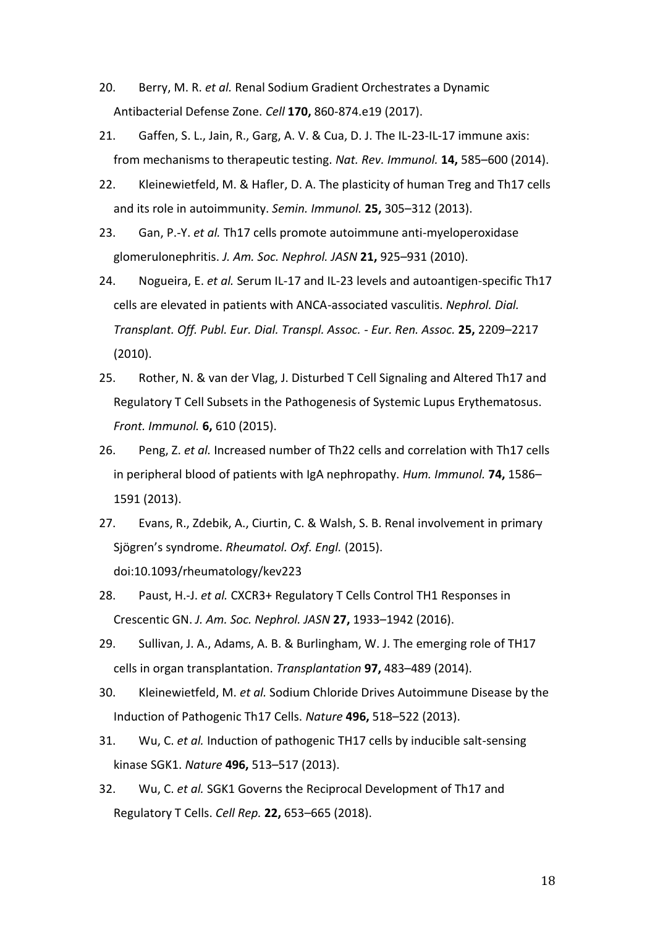- 20. Berry, M. R. *et al.* Renal Sodium Gradient Orchestrates a Dynamic Antibacterial Defense Zone. *Cell* **170,** 860-874.e19 (2017).
- 21. Gaffen, S. L., Jain, R., Garg, A. V. & Cua, D. J. The IL-23-IL-17 immune axis: from mechanisms to therapeutic testing. *Nat. Rev. Immunol.* **14,** 585–600 (2014).
- 22. Kleinewietfeld, M. & Hafler, D. A. The plasticity of human Treg and Th17 cells and its role in autoimmunity. *Semin. Immunol.* **25,** 305–312 (2013).
- 23. Gan, P.-Y. *et al.* Th17 cells promote autoimmune anti-myeloperoxidase glomerulonephritis. *J. Am. Soc. Nephrol. JASN* **21,** 925–931 (2010).
- 24. Nogueira, E. *et al.* Serum IL-17 and IL-23 levels and autoantigen-specific Th17 cells are elevated in patients with ANCA-associated vasculitis. *Nephrol. Dial. Transplant. Off. Publ. Eur. Dial. Transpl. Assoc. - Eur. Ren. Assoc.* **25,** 2209–2217 (2010).
- 25. Rother, N. & van der Vlag, J. Disturbed T Cell Signaling and Altered Th17 and Regulatory T Cell Subsets in the Pathogenesis of Systemic Lupus Erythematosus. *Front. Immunol.* **6,** 610 (2015).
- 26. Peng, Z. *et al.* Increased number of Th22 cells and correlation with Th17 cells in peripheral blood of patients with IgA nephropathy. *Hum. Immunol.* **74,** 1586– 1591 (2013).
- 27. Evans, R., Zdebik, A., Ciurtin, C. & Walsh, S. B. Renal involvement in primary Sjögren's syndrome. *Rheumatol. Oxf. Engl.* (2015). doi:10.1093/rheumatology/kev223
- 28. Paust, H.-J. *et al.* CXCR3+ Regulatory T Cells Control TH1 Responses in Crescentic GN. *J. Am. Soc. Nephrol. JASN* **27,** 1933–1942 (2016).
- 29. Sullivan, J. A., Adams, A. B. & Burlingham, W. J. The emerging role of TH17 cells in organ transplantation. *Transplantation* **97,** 483–489 (2014).
- 30. Kleinewietfeld, M. *et al.* Sodium Chloride Drives Autoimmune Disease by the Induction of Pathogenic Th17 Cells. *Nature* **496,** 518–522 (2013).
- 31. Wu, C. *et al.* Induction of pathogenic TH17 cells by inducible salt-sensing kinase SGK1. *Nature* **496,** 513–517 (2013).
- 32. Wu, C. *et al.* SGK1 Governs the Reciprocal Development of Th17 and Regulatory T Cells. *Cell Rep.* **22,** 653–665 (2018).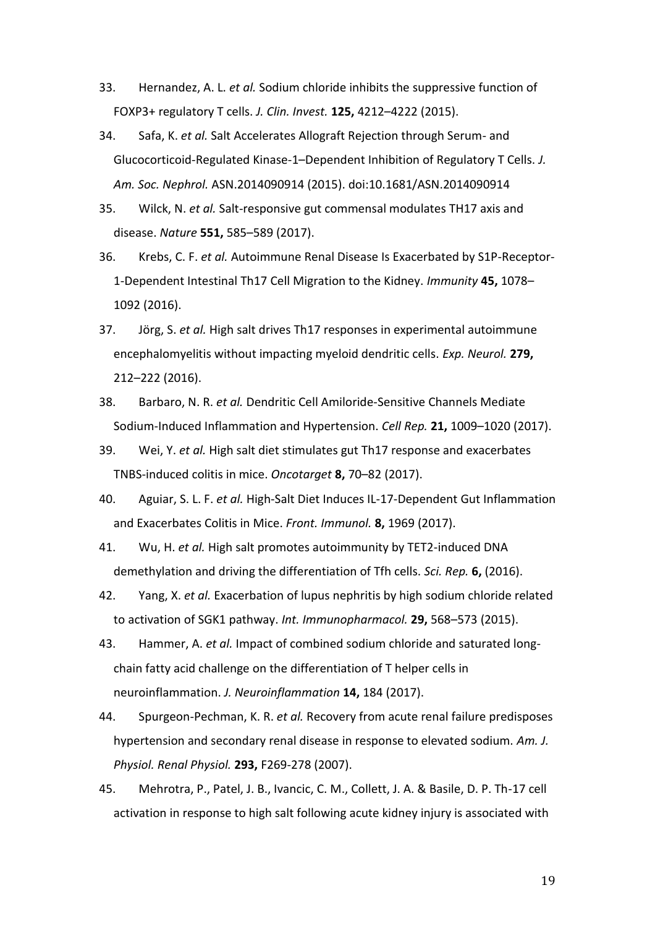- 33. Hernandez, A. L. *et al.* Sodium chloride inhibits the suppressive function of FOXP3+ regulatory T cells. *J. Clin. Invest.* **125,** 4212–4222 (2015).
- 34. Safa, K. *et al.* Salt Accelerates Allograft Rejection through Serum- and Glucocorticoid-Regulated Kinase-1–Dependent Inhibition of Regulatory T Cells. *J. Am. Soc. Nephrol.* ASN.2014090914 (2015). doi:10.1681/ASN.2014090914
- 35. Wilck, N. *et al.* Salt-responsive gut commensal modulates TH17 axis and disease. *Nature* **551,** 585–589 (2017).
- 36. Krebs, C. F. *et al.* Autoimmune Renal Disease Is Exacerbated by S1P-Receptor-1-Dependent Intestinal Th17 Cell Migration to the Kidney. *Immunity* **45,** 1078– 1092 (2016).
- 37. Jörg, S. *et al.* High salt drives Th17 responses in experimental autoimmune encephalomyelitis without impacting myeloid dendritic cells. *Exp. Neurol.* **279,** 212–222 (2016).
- 38. Barbaro, N. R. *et al.* Dendritic Cell Amiloride-Sensitive Channels Mediate Sodium-Induced Inflammation and Hypertension. *Cell Rep.* **21,** 1009–1020 (2017).
- 39. Wei, Y. *et al.* High salt diet stimulates gut Th17 response and exacerbates TNBS-induced colitis in mice. *Oncotarget* **8,** 70–82 (2017).
- 40. Aguiar, S. L. F. *et al.* High-Salt Diet Induces IL-17-Dependent Gut Inflammation and Exacerbates Colitis in Mice. *Front. Immunol.* **8,** 1969 (2017).
- 41. Wu, H. *et al.* High salt promotes autoimmunity by TET2-induced DNA demethylation and driving the differentiation of Tfh cells. *Sci. Rep.* **6,** (2016).
- 42. Yang, X. *et al.* Exacerbation of lupus nephritis by high sodium chloride related to activation of SGK1 pathway. *Int. Immunopharmacol.* **29,** 568–573 (2015).
- 43. Hammer, A. *et al.* Impact of combined sodium chloride and saturated longchain fatty acid challenge on the differentiation of T helper cells in neuroinflammation. *J. Neuroinflammation* **14,** 184 (2017).
- 44. Spurgeon-Pechman, K. R. *et al.* Recovery from acute renal failure predisposes hypertension and secondary renal disease in response to elevated sodium. *Am. J. Physiol. Renal Physiol.* **293,** F269-278 (2007).
- 45. Mehrotra, P., Patel, J. B., Ivancic, C. M., Collett, J. A. & Basile, D. P. Th-17 cell activation in response to high salt following acute kidney injury is associated with